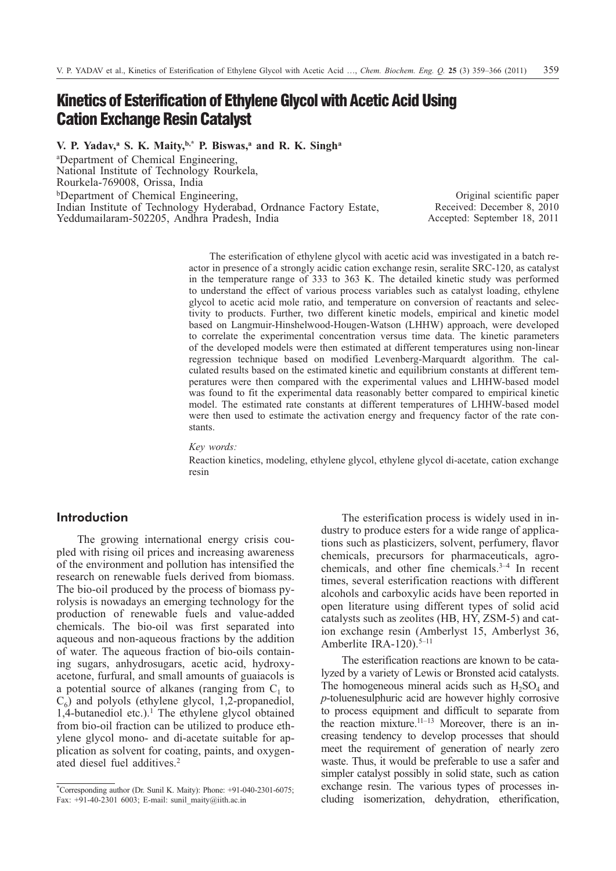# **Kinetics of Esterification of Ethylene Glycol with Acetic Acid Using Cation Exchange Resin Catalyst**

**V. P. Yadav,a S. K. Maity,b,\* P. Biswas,a and R. K. Singha**

a Department of Chemical Engineering, National Institute of Technology Rourkela, Rourkela-769008, Orissa, India bDepartment of Chemical Engineering,

Indian Institute of Technology Hyderabad, Ordnance Factory Estate, Yeddumailaram-502205, Andhra Pradesh, India

Original scientific paper Received: December 8, 2010 Accepted: September 18, 2011

The esterification of ethylene glycol with acetic acid was investigated in a batch reactor in presence of a strongly acidic cation exchange resin, seralite SRC-120, as catalyst in the temperature range of 333 to 363 K. The detailed kinetic study was performed to understand the effect of various process variables such as catalyst loading, ethylene glycol to acetic acid mole ratio, and temperature on conversion of reactants and selectivity to products. Further, two different kinetic models, empirical and kinetic model based on Langmuir-Hinshelwood-Hougen-Watson (LHHW) approach, were developed to correlate the experimental concentration versus time data. The kinetic parameters of the developed models were then estimated at different temperatures using non-linear regression technique based on modified Levenberg-Marquardt algorithm. The calculated results based on the estimated kinetic and equilibrium constants at different temperatures were then compared with the experimental values and LHHW-based model was found to fit the experimental data reasonably better compared to empirical kinetic model. The estimated rate constants at different temperatures of LHHW-based model were then used to estimate the activation energy and frequency factor of the rate constants.

*Key words:*

Reaction kinetics, modeling, ethylene glycol, ethylene glycol di-acetate, cation exchange resin

# **Introduction**

The growing international energy crisis coupled with rising oil prices and increasing awareness of the environment and pollution has intensified the research on renewable fuels derived from biomass. The bio-oil produced by the process of biomass pyrolysis is nowadays an emerging technology for the production of renewable fuels and value-added chemicals. The bio-oil was first separated into aqueous and non-aqueous fractions by the addition of water. The aqueous fraction of bio-oils containing sugars, anhydrosugars, acetic acid, hydroxyacetone, furfural, and small amounts of guaiacols is a potential source of alkanes (ranging from  $C_1$  to  $C_6$ ) and polyols (ethylene glycol, 1,2-propanediol, 1,4-butanediol etc.).<sup>1</sup> The ethylene glycol obtained from bio-oil fraction can be utilized to produce ethylene glycol mono- and di-acetate suitable for application as solvent for coating, paints, and oxygenated diesel fuel additives.2

The esterification process is widely used in industry to produce esters for a wide range of applications such as plasticizers, solvent, perfumery, flavor chemicals, precursors for pharmaceuticals, agrochemicals, and other fine chemicals.3–4 In recent times, several esterification reactions with different alcohols and carboxylic acids have been reported in open literature using different types of solid acid catalysts such as zeolites (HB, HY, ZSM-5) and cation exchange resin (Amberlyst 15, Amberlyst 36, Amberlite IRA-120).<sup>5-11</sup>

The esterification reactions are known to be catalyzed by a variety of Lewis or Bronsted acid catalysts. The homogeneous mineral acids such as  $H_2SO_4$  and *p*-toluenesulphuric acid are however highly corrosive to process equipment and difficult to separate from the reaction mixture.<sup>11–13</sup> Moreover, there is an increasing tendency to develop processes that should meet the requirement of generation of nearly zero waste. Thus, it would be preferable to use a safer and simpler catalyst possibly in solid state, such as cation exchange resin. The various types of processes including isomerization, dehydration, etherification,

<sup>\*</sup> Corresponding author (Dr. Sunil K. Maity): Phone: +91-040-2301-6075; Fax: +91-40-2301 6003; E-mail: sunil\_maity@iith.ac.in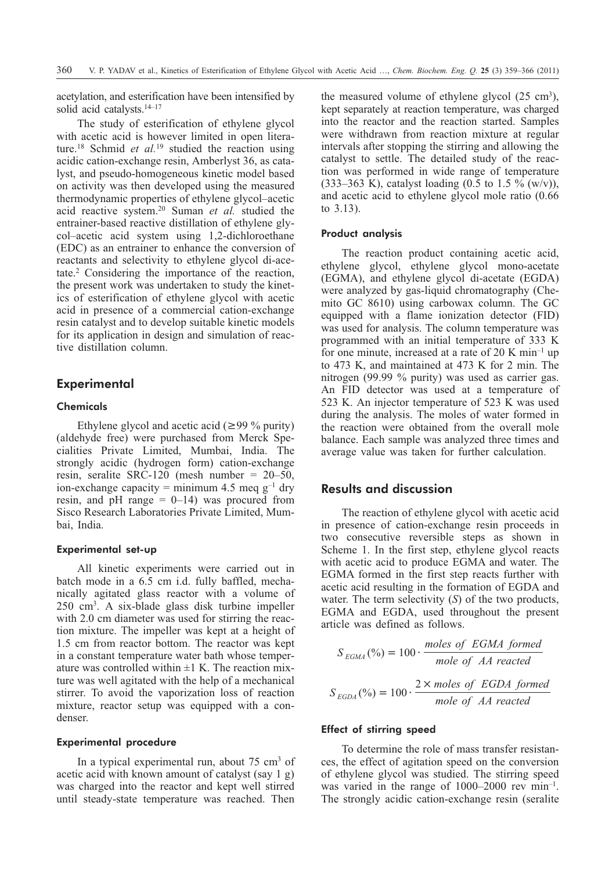acetylation, and esterification have been intensified by solid acid catalysts.<sup>14–17</sup>

The study of esterification of ethylene glycol with acetic acid is however limited in open literature.18 Schmid *et al.*<sup>19</sup> studied the reaction using acidic cation-exchange resin, Amberlyst 36, as catalyst, and pseudo-homogeneous kinetic model based on activity was then developed using the measured thermodynamic properties of ethylene glycol–acetic acid reactive system.20 Suman *et al.* studied the entrainer-based reactive distillation of ethylene glycol–acetic acid system using 1,2-dichloroethane (EDC) as an entrainer to enhance the conversion of reactants and selectivity to ethylene glycol di-acetate.2 Considering the importance of the reaction, the present work was undertaken to study the kinetics of esterification of ethylene glycol with acetic acid in presence of a commercial cation-exchange resin catalyst and to develop suitable kinetic models for its application in design and simulation of reactive distillation column.

# **Experimental**

## **Chemicals**

Ethylene glycol and acetic acid ( $\geq$ 99 % purity) (aldehyde free) were purchased from Merck Specialities Private Limited, Mumbai, India. The strongly acidic (hydrogen form) cation-exchange resin, seralite SRC-120 (mesh number = 20–50, ion-exchange capacity = minimum 4.5 meq  $g^{-1}$  dry resin, and pH range  $= 0$ -14) was procured from Sisco Research Laboratories Private Limited, Mumbai, India.

### Experimental set-up

All kinetic experiments were carried out in batch mode in a 6.5 cm i.d. fully baffled, mechanically agitated glass reactor with a volume of 250 cm3. A six-blade glass disk turbine impeller with 2.0 cm diameter was used for stirring the reaction mixture. The impeller was kept at a height of 1.5 cm from reactor bottom. The reactor was kept in a constant temperature water bath whose temperature was controlled within  $\pm 1$  K. The reaction mixture was well agitated with the help of a mechanical stirrer. To avoid the vaporization loss of reaction mixture, reactor setup was equipped with a condenser.

### Experimental procedure

In a typical experimental run, about  $75 \text{ cm}^3$  of acetic acid with known amount of catalyst (say 1 g) was charged into the reactor and kept well stirred until steady-state temperature was reached. Then

the measured volume of ethylene glycol  $(25 \text{ cm}^3)$ , kept separately at reaction temperature, was charged into the reactor and the reaction started. Samples were withdrawn from reaction mixture at regular intervals after stopping the stirring and allowing the catalyst to settle. The detailed study of the reaction was performed in wide range of temperature (333–363 K), catalyst loading  $(0.5 \text{ to } 1.5 \% \text{ (w/v)}),$ and acetic acid to ethylene glycol mole ratio (0.66 to 3.13).

#### Product analysis

The reaction product containing acetic acid, ethylene glycol, ethylene glycol mono-acetate (EGMA), and ethylene glycol di-acetate (EGDA) were analyzed by gas-liquid chromatography (Chemito GC 8610) using carbowax column. The GC equipped with a flame ionization detector (FID) was used for analysis. The column temperature was programmed with an initial temperature of 333 K for one minute, increased at a rate of  $20 \text{ K min}^{-1}$  up to 473 K, and maintained at 473 K for 2 min. The nitrogen (99.99 % purity) was used as carrier gas. An FID detector was used at a temperature of 523 K. An injector temperature of 523 K was used during the analysis. The moles of water formed in the reaction were obtained from the overall mole balance. Each sample was analyzed three times and average value was taken for further calculation.

# **Results and discussion**

The reaction of ethylene glycol with acetic acid in presence of cation-exchange resin proceeds in two consecutive reversible steps as shown in Scheme 1. In the first step, ethylene glycol reacts with acetic acid to produce EGMA and water. The EGMA formed in the first step reacts further with acetic acid resulting in the formation of EGDA and water. The term selectivity (*S*) of the two products, EGMA and EGDA, used throughout the present article was defined as follows.

$$
S_{EGMA}(\%) = 100 \cdot \frac{moles \ of \ EGMA \ formed}{mole \ of \ AA \ reacted}
$$

$$
S_{EGDA}(\%) = 100 \cdot \frac{2 \times moles \ of \ EGDA \ formed}{mole \ of \ AA \ reacted}
$$

### Effect of stirring speed

To determine the role of mass transfer resistances, the effect of agitation speed on the conversion of ethylene glycol was studied. The stirring speed was varied in the range of 1000–2000 rev min<sup>-1</sup>. The strongly acidic cation-exchange resin (seralite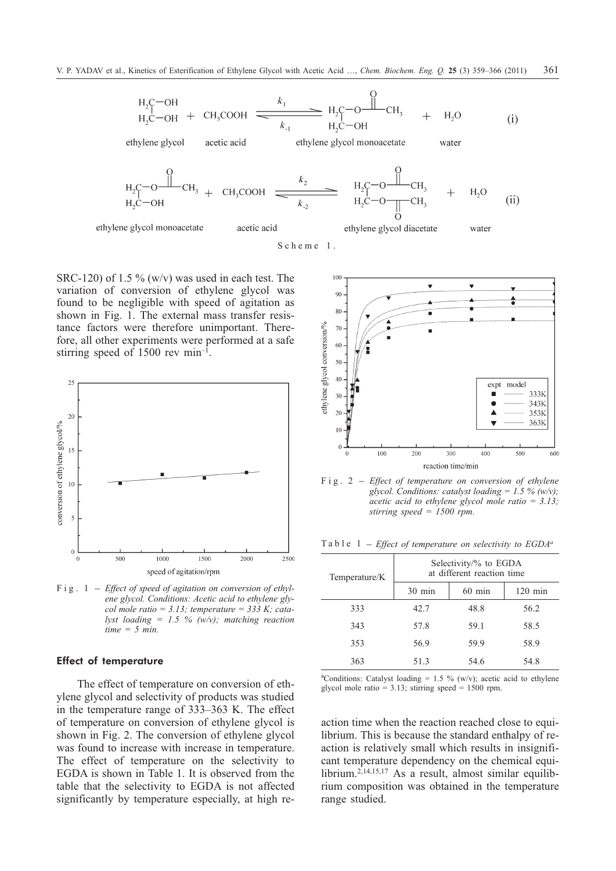$$
H_2C-OH
$$
  
\n $H_2C-OH$  + CH<sub>3</sub>COOH\n $\xrightarrow{k_1}$ \n $H_2C-OH$ \n $H_2C-OH$ \n $H_3$ \n $H_2C-OH$ \n(i)

 $\sim$ 

ethylene glycol acetic acid ethylene glycol monoacetate water

$$
H_2C-O-H_3 + CH_3COOH
$$
  $\xrightarrow{k_2}$   $H_2C-O-H_3 + CH_3COOH$   $\xrightarrow{k_2}$   $H_2C-O-H_3 + H_2O$  (ii)

ethylene glycol monoacetate acetic acid

Scheme 1.

SRC-120) of 1.5  $\%$  (w/v) was used in each test. The variation of conversion of ethylene glycol was found to be negligible with speed of agitation as shown in Fig. 1. The external mass transfer resistance factors were therefore unimportant. Therefore, all other experiments were performed at a safe stirring speed of 1500 rev min–1.



*ene glycol. Conditions: Acetic acid to ethylene glycol mole ratio = 3.13; temperature = 333 K; catalyst loading = 1.5 % (w/v); matching reaction time = 5 min.*

### Effect of temperature

The effect of temperature on conversion of ethylene glycol and selectivity of products was studied in the temperature range of 333–363 K. The effect of temperature on conversion of ethylene glycol is shown in Fig. 2. The conversion of ethylene glycol was found to increase with increase in temperature. The effect of temperature on the selectivity to EGDA is shown in Table 1. It is observed from the table that the selectivity to EGDA is not affected significantly by temperature especially, at high re-



*glycol. Conditions: catalyst loading = 1.5 % (w/v); acetic acid to ethylene glycol mole ratio = 3.13; stirring speed = 1500 rpm.*

Table 1 – *Effect of temperature on selectivity to EGDAa*

| Temperature/K | Selectivity/% to EGDA<br>at different reaction time |          |           |  |  |
|---------------|-----------------------------------------------------|----------|-----------|--|--|
|               | $30 \text{ min}$                                    | $60$ min | $120$ min |  |  |
| 333           | 42.7                                                | 48.8     | 56.2      |  |  |
| 343           | 57.8                                                | 59.1     | 58.5      |  |  |
| 353           | 56.9                                                | 59.9     | 58.9      |  |  |
| 363           | 51.3                                                | 54.6     | 54.8      |  |  |

<sup>a</sup>Conditions: Catalyst loading = 1.5 % (w/v); acetic acid to ethylene glycol mole ratio =  $3.13$ ; stirring speed =  $1500$  rpm.

action time when the reaction reached close to equilibrium. This is because the standard enthalpy of reaction is relatively small which results in insignificant temperature dependency on the chemical equilibrium.2,14,15,17 As a result, almost similar equilibrium composition was obtained in the temperature range studied.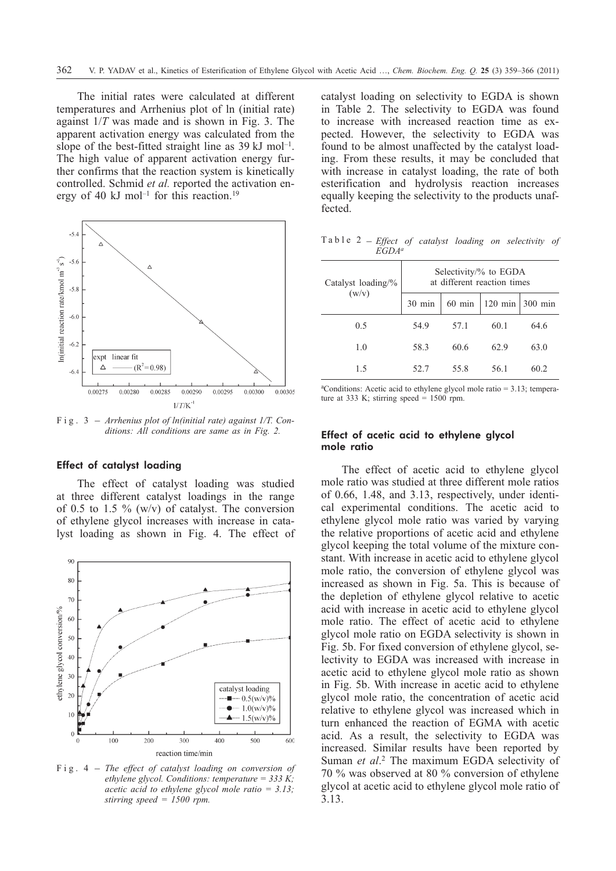The initial rates were calculated at different temperatures and Arrhenius plot of ln (initial rate) against 1/*T* was made and is shown in Fig. 3. The apparent activation energy was calculated from the slope of the best-fitted straight line as  $39 \text{ kJ}$  mol<sup>-1</sup>. The high value of apparent activation energy further confirms that the reaction system is kinetically controlled. Schmid *et al.* reported the activation energy of 40 kJ mol<sup>-1</sup> for this reaction.<sup>19</sup>



*ditions: All conditions are same as in Fig. 2.*

### Effect of catalyst loading

The effect of catalyst loading was studied at three different catalyst loadings in the range of 0.5 to 1.5  $\%$  (w/v) of catalyst. The conversion of ethylene glycol increases with increase in catalyst loading as shown in Fig. 4. The effect of



*ethylene glycol. Conditions: temperature = 333 K; acetic acid to ethylene glycol mole ratio = 3.13; stirring speed = 1500 rpm.*

catalyst loading on selectivity to EGDA is shown in Table 2. The selectivity to EGDA was found to increase with increased reaction time as expected. However, the selectivity to EGDA was found to be almost unaffected by the catalyst loading. From these results, it may be concluded that with increase in catalyst loading, the rate of both esterification and hydrolysis reaction increases equally keeping the selectivity to the products unaffected.

Table 2 – *Effect of catalyst loading on selectivity of EGDAa*

| Catalyst loading/%<br>(w/v) | Selectivity/% to EGDA<br>at different reaction times |          |           |         |  |  |
|-----------------------------|------------------------------------------------------|----------|-----------|---------|--|--|
|                             | $30 \text{ min}$                                     | $60$ min | $120$ min | 300 min |  |  |
| 0.5                         | 54.9                                                 | 57.1     | 60.1      | 64.6    |  |  |
| 1.0                         | 58.3                                                 | 60.6     | 62.9      | 63.0    |  |  |
| 1.5                         | 52.7                                                 | 55.8     | 56.1      | 60.2    |  |  |

a Conditions: Acetic acid to ethylene glycol mole ratio = 3.13; temperature at 333 K; stirring speed =  $1500$  rpm.

### Effect of acetic acid to ethylene glycol mole ratio

The effect of acetic acid to ethylene glycol mole ratio was studied at three different mole ratios of 0.66, 1.48, and 3.13, respectively, under identical experimental conditions. The acetic acid to ethylene glycol mole ratio was varied by varying the relative proportions of acetic acid and ethylene glycol keeping the total volume of the mixture constant. With increase in acetic acid to ethylene glycol mole ratio, the conversion of ethylene glycol was increased as shown in Fig. 5a. This is because of the depletion of ethylene glycol relative to acetic acid with increase in acetic acid to ethylene glycol mole ratio. The effect of acetic acid to ethylene glycol mole ratio on EGDA selectivity is shown in Fig. 5b. For fixed conversion of ethylene glycol, selectivity to EGDA was increased with increase in acetic acid to ethylene glycol mole ratio as shown in Fig. 5b. With increase in acetic acid to ethylene glycol mole ratio, the concentration of acetic acid relative to ethylene glycol was increased which in turn enhanced the reaction of EGMA with acetic acid. As a result, the selectivity to EGDA was increased. Similar results have been reported by Suman *et al*. <sup>2</sup> The maximum EGDA selectivity of 70 % was observed at 80 % conversion of ethylene glycol at acetic acid to ethylene glycol mole ratio of 3.13.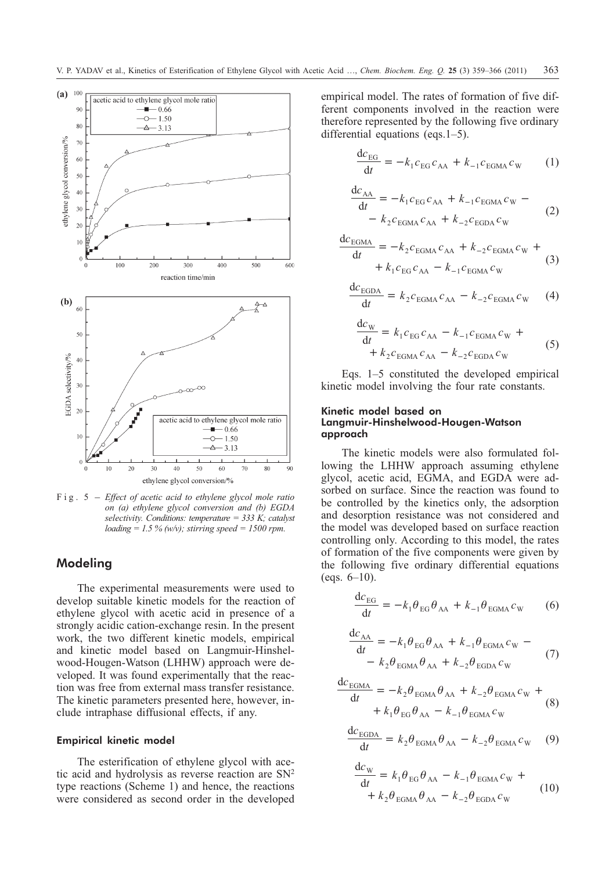

*on (a) ethylene glycol conversion and (b) EGDA selectivity. Conditions: temperature = 333 K; catalyst loading = 1.5 % (w/v); stirring speed = 1500 rpm.*

# **Modeling**

The experimental measurements were used to develop suitable kinetic models for the reaction of ethylene glycol with acetic acid in presence of a strongly acidic cation-exchange resin. In the present work, the two different kinetic models, empirical and kinetic model based on Langmuir-Hinshelwood-Hougen-Watson (LHHW) approach were developed. It was found experimentally that the reaction was free from external mass transfer resistance. The kinetic parameters presented here, however, include intraphase diffusional effects, if any.

### Empirical kinetic model

The esterification of ethylene glycol with acetic acid and hydrolysis as reverse reaction are  $SN<sup>2</sup>$ type reactions (Scheme 1) and hence, the reactions were considered as second order in the developed empirical model. The rates of formation of five different components involved in the reaction were therefore represented by the following five ordinary differential equations (eqs.1–5).

$$
\frac{dc_{EG}}{dt} = -k_1 c_{EG} c_{AA} + k_{-1} c_{EGMA} c_W \qquad (1)
$$

$$
\frac{dc_{AA}}{dt} = -k_1 c_{EG} c_{AA} + k_{-1} c_{EGMA} c_W - k_2 c_{EGMA} c_{AA} + k_{-2} c_{EGDA} c_W
$$
\n(2)

$$
\frac{dc_{EGMA}}{dt} = -k_2 c_{EGMA} c_{AA} + k_{-2} c_{EGMA} c_W ++ k_1 c_{EG} c_{AA} - k_{-1} c_{EGMA} c_W
$$
\n(3)

$$
\frac{\mathrm{d}c_{\mathrm{EGBA}}}{\mathrm{d}t} = k_2 c_{\mathrm{EGMA}} c_{\mathrm{AA}} - k_{-2} c_{\mathrm{EGMA}} c_{\mathrm{W}} \qquad (4)
$$

$$
\frac{dc_{W}}{dt} = k_{1}c_{EG}c_{AA} - k_{-1}c_{EGMA}c_{W} + k_{2}c_{EGMA}c_{AA} - k_{-2}c_{EGDA}c_{W}
$$
\n(5)

Eqs. 1–5 constituted the developed empirical kinetic model involving the four rate constants.

### Kinetic model based on Langmuir-Hinshelwood-Hougen-Watson approach

The kinetic models were also formulated following the LHHW approach assuming ethylene glycol, acetic acid, EGMA, and EGDA were adsorbed on surface. Since the reaction was found to be controlled by the kinetics only, the adsorption and desorption resistance was not considered and the model was developed based on surface reaction controlling only. According to this model, the rates of formation of the five components were given by the following five ordinary differential equations (eqs.  $6-10$ ).

$$
\frac{\mathrm{d}c_{\mathrm{EG}}}{\mathrm{d}t} = -k_1 \theta_{\mathrm{EG}} \theta_{\mathrm{AA}} + k_{-1} \theta_{\mathrm{EGMA}} c_{\mathrm{W}} \qquad (6)
$$

$$
\frac{dc_{AA}}{dt} = -k_1 \theta_{EG} \theta_{AA} + k_{-1} \theta_{EGMA} c_W - (7)
$$

$$
- k_2 \theta_{EGMA} \theta_{AA} + k_{-2} \theta_{EGDA} c_W
$$

$$
\frac{dc_{\text{EGMA}}}{dt} = -k_2 \theta_{\text{EGMA}} \theta_{\text{AA}} + k_{-2} \theta_{\text{EGMA}} c_{\text{W}} ++ k_1 \theta_{\text{EG}} \theta_{\text{AA}} - k_{-1} \theta_{\text{EGMA}} c_{\text{W}}
$$
(8)

$$
\frac{dc_{\text{EGDA}}}{dt} = k_2 \theta_{\text{EGMA}} \theta_{\text{AA}} - k_{-2} \theta_{\text{EGMA}} c_{\text{W}} \quad (9)
$$

$$
\frac{dc_{\rm W}}{dt} = k_1 \theta_{\rm EG} \theta_{\rm AA} - k_{-1} \theta_{\rm EGMA} c_{\rm W} + k_2 \theta_{\rm EGMA} \theta_{\rm AA} - k_{-2} \theta_{\rm EGDA} c_{\rm W}
$$
\n(10)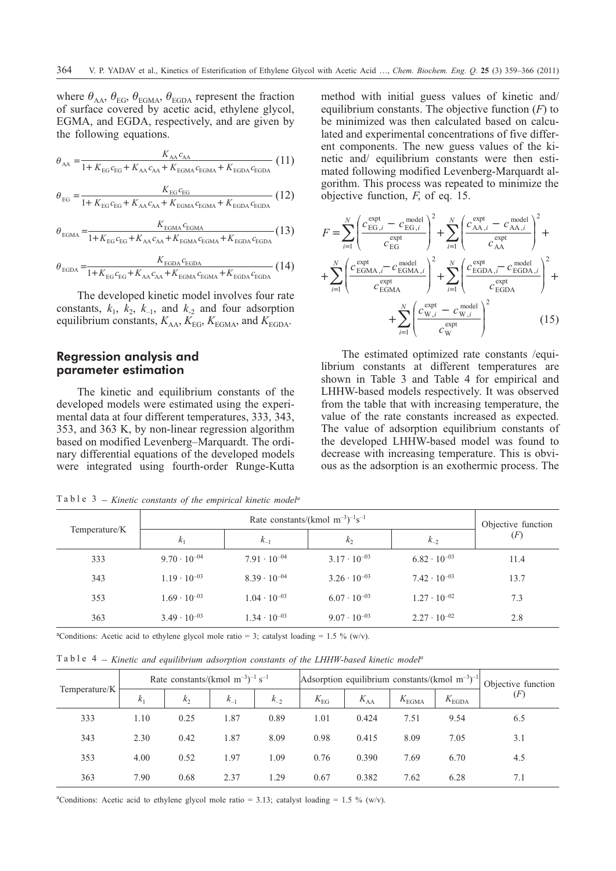where  $\theta_{AA}$ ,  $\theta_{EG}$ ,  $\theta_{EGMA}$ ,  $\theta_{EGDA}$  represent the fraction of surface covered by acetic acid, ethylene glycol, EGMA, and EGDA, respectively, and are given by the following equations.

$$
\theta_{AA} = \frac{K_{AA}c_{AA}}{1 + K_{EG}c_{EG} + K_{AA}c_{AA} + K_{EGMA}c_{EGMA} + K_{EGDA}c_{EGDA}}
$$
(11)

$$
\theta_{\text{EG}} = \frac{K_{\text{EG}}c_{\text{EG}}}{1 + K_{\text{EG}}c_{\text{EG}} + K_{\text{AA}}c_{\text{AA}} + K_{\text{EGMA}}c_{\text{EGMA}} + K_{\text{EGDA}}c_{\text{EGDA}}}
$$
(12)

$$
\theta_{\text{EGMA}} = \frac{K_{\text{EGMA}} c_{\text{EGMA}}}{1 + K_{\text{EG}} c_{\text{EG}} + K_{\text{AA}} c_{\text{AA}} + K_{\text{EGMA}} c_{\text{EGMA}} + K_{\text{EGDA}} c_{\text{EGDA}}} (13)
$$

$$
\theta_{\text{EGDA}} = \frac{K_{\text{EGDA}} c_{\text{EGDA}}}{1 + K_{\text{EG}} c_{\text{EG}} + K_{\text{AA}} c_{\text{AA}} + K_{\text{EGMA}} c_{\text{EGMA}} + K_{\text{EGDA}} c_{\text{EGDA}}} (14)
$$

The developed kinetic model involves four rate constants,  $k_1$ ,  $k_2$ ,  $k_{-1}$ , and  $k_2$  and four adsorption equilibrium constants,  $K_{AA}$ ,  $K_{EG}$ ,  $K_{EGMA}$ , and  $K_{EGDA}$ .

# **Regression analysis and parameter estimation**

The kinetic and equilibrium constants of the developed models were estimated using the experimental data at four different temperatures, 333, 343, 353, and 363 K, by non-linear regression algorithm based on modified Levenberg–Marquardt. The ordinary differential equations of the developed models were integrated using fourth-order Runge-Kutta method with initial guess values of kinetic and/ equilibrium constants. The objective function (*F*) to be minimized was then calculated based on calculated and experimental concentrations of five different components. The new guess values of the kinetic and/ equilibrium constants were then estimated following modified Levenberg-Marquardt algorithm. This process was repeated to minimize the objective function, *F*, of eq. 15.

$$
F = \sum_{i=1}^{N} \left( \frac{c_{\text{EG},i}^{\text{expt}} - c_{\text{EG},i}^{\text{model}}}{c_{\text{EG}}} \right)^2 + \sum_{i=1}^{N} \left( \frac{c_{\text{AA},i}^{\text{expt}} - c_{\text{AA},i}^{\text{model}}}{c_{\text{AA}}^{\text{expt}}} \right)^2 + \sum_{i=1}^{N} \left( \frac{c_{\text{AA},i}^{\text{expt}} - c_{\text{AA},i}^{\text{model}}}{c_{\text{BGM}}^{\text{expt}}} \right)^2 + \sum_{i=1}^{N} \left( \frac{c_{\text{EGDA},i}^{\text{expt}} - c_{\text{EGDA},i}^{\text{model}}}{c_{\text{EGDA}}^{\text{expt}}} \right)^2 + \sum_{i=1}^{N} \left( \frac{c_{\text{W},i}^{\text{expt}} - c_{\text{EGDA},i}^{\text{model}}}{c_{\text{W}}^{\text{expt}}} \right)^2 + \sum_{i=1}^{N} \left( \frac{c_{\text{W},i}^{\text{expt}} - c_{\text{W},i}^{\text{model}}}{c_{\text{W}}^{\text{expt}}} \right)^2 \tag{15}
$$

The estimated optimized rate constants /equilibrium constants at different temperatures are shown in Table 3 and Table 4 for empirical and LHHW-based models respectively. It was observed from the table that with increasing temperature, the value of the rate constants increased as expected. The value of adsorption equilibrium constants of the developed LHHW-based model was found to decrease with increasing temperature. This is obvious as the adsorption is an exothermic process. The

|               |                       | Objective function    |                       |                       |      |
|---------------|-----------------------|-----------------------|-----------------------|-----------------------|------|
| Temperature/K | $k_1$                 | $k_{-1}$              | k <sub>2</sub>        | $k_{-2}$              | (F)  |
| 333           | $9.70 \cdot 10^{-04}$ | $7.91 \cdot 10^{-04}$ | $3.17 \cdot 10^{-03}$ | $6.82 \cdot 10^{-03}$ | 11.4 |
| 343           | $1.19 \cdot 10^{-03}$ | $8.39 \cdot 10^{-04}$ | $3.26 \cdot 10^{-03}$ | $7.42 \cdot 10^{-03}$ | 13.7 |
| 353           | $1.69 \cdot 10^{-03}$ | $1.04 \cdot 10^{-03}$ | $6.07 \cdot 10^{-03}$ | $1.27 \cdot 10^{-02}$ | 7.3  |
| 363           | $3.49 \cdot 10^{-03}$ | $1.34 \cdot 10^{-03}$ | $9.07 \cdot 10^{-03}$ | $2.27 \cdot 10^{-02}$ | 2.8  |

Table 3 – *Kinetic constants of the empirical kinetic modela*

<sup>a</sup>Conditions: Acetic acid to ethylene glycol mole ratio = 3; catalyst loading = 1.5 % (w/v).

Table 4 – *Kinetic and equilibrium adsorption constants of the LHHW-based kinetic modela*

|               | Rate constants/(kmol $\text{m}^{-3}$ ) <sup>-1</sup> s <sup>-1</sup> |         | Adsorption equilibrium constants/(kmol $m^{-3}$ ) <sup>-1</sup> |          |              | Objective function |                |                   |     |
|---------------|----------------------------------------------------------------------|---------|-----------------------------------------------------------------|----------|--------------|--------------------|----------------|-------------------|-----|
| Temperature/K | $k_{1}$                                                              | $k_{2}$ | $k_{-1}$                                                        | $k_{-2}$ | $K_{\rm EG}$ | $K_{AA}$           | $K_{\rm EGMA}$ | $K_{\text{EGDA}}$ | (F) |
| 333           | 1.10                                                                 | 0.25    | 1.87                                                            | 0.89     | 1.01         | 0.424              | 7.51           | 9.54              | 6.5 |
| 343           | 2.30                                                                 | 0.42    | 1.87                                                            | 8.09     | 0.98         | 0.415              | 8.09           | 7.05              | 3.1 |
| 353           | 4.00                                                                 | 0.52    | 1.97                                                            | 1.09     | 0.76         | 0.390              | 7.69           | 6.70              | 4.5 |
| 363           | 7.90                                                                 | 0.68    | 2.37                                                            | 1.29     | 0.67         | 0.382              | 7.62           | 6.28              | 7.1 |

<sup>a</sup>Conditions: Acetic acid to ethylene glycol mole ratio = 3.13; catalyst loading = 1.5 % (w/v).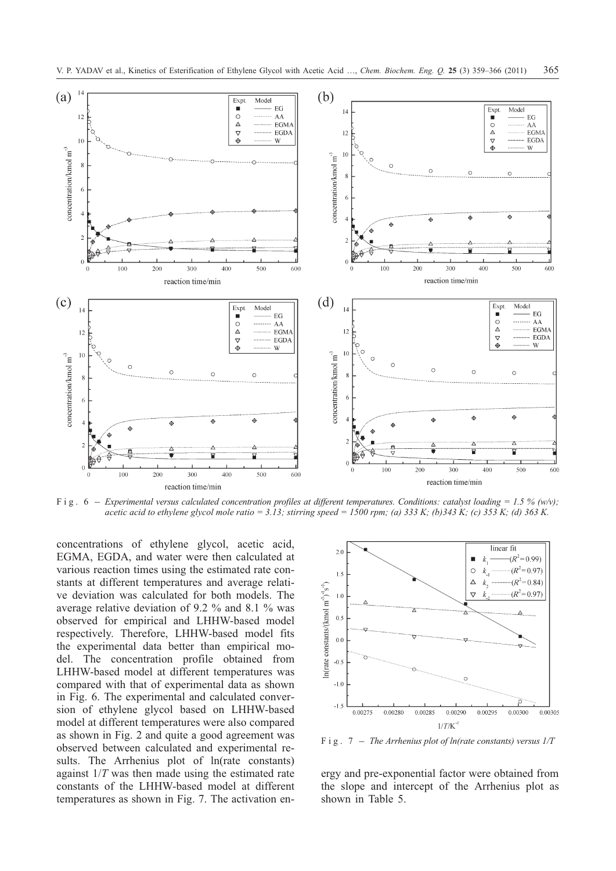

*acetic acid to ethylene glycol mole ratio = 3.13; stirring speed = 1500 rpm; (a) 333 K; (b)343 K; (c) 353 K; (d) 363 K.*

concentrations of ethylene glycol, acetic acid, EGMA, EGDA, and water were then calculated at various reaction times using the estimated rate constants at different temperatures and average relative deviation was calculated for both models. The average relative deviation of 9.2 % and 8.1 % was observed for empirical and LHHW-based model respectively. Therefore, LHHW-based model fits the experimental data better than empirical model. The concentration profile obtained from LHHW-based model at different temperatures was compared with that of experimental data as shown in Fig. 6. The experimental and calculated conversion of ethylene glycol based on LHHW-based model at different temperatures were also compared as shown in Fig. 2 and quite a good agreement was observed between calculated and experimental results. The Arrhenius plot of ln(rate constants) against 1/*T* was then made using the estimated rate constants of the LHHW-based model at different temperatures as shown in Fig. 7. The activation en-



ergy and pre-exponential factor were obtained from the slope and intercept of the Arrhenius plot as shown in Table 5.